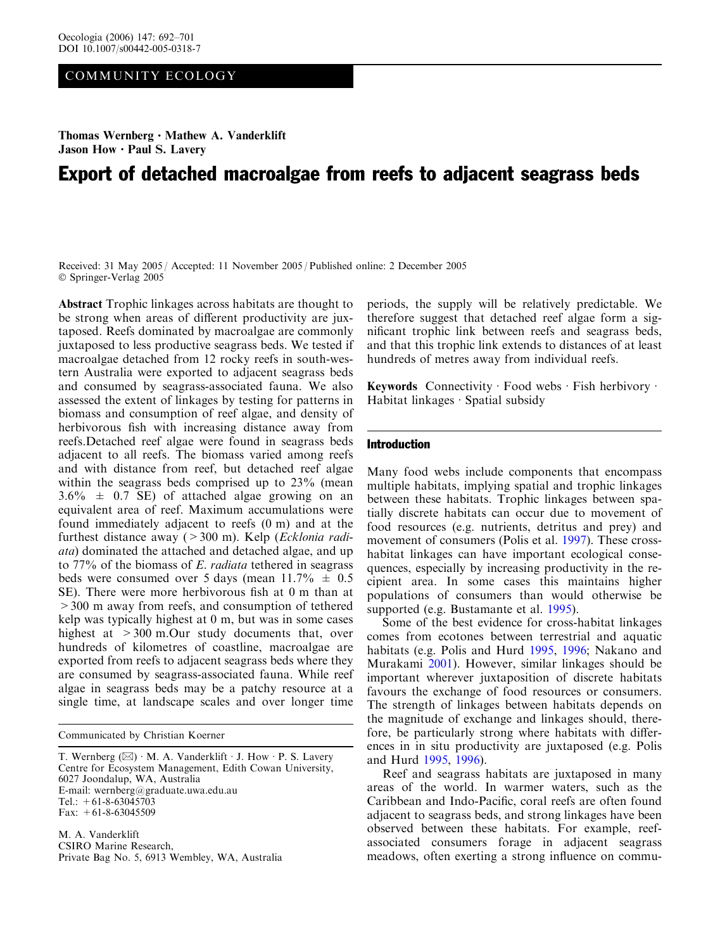# COMMUNITY ECOLOGY

Thomas Wernberg  $\cdot$  Mathew A. Vanderklift Jason How · Paul S. Lavery

# Export of detached macroalgae from reefs to adjacent seagrass beds

Received: 31 May 2005 / Accepted: 11 November 2005 / Published online: 2 December 2005 Springer-Verlag 2005

Abstract Trophic linkages across habitats are thought to be strong when areas of different productivity are juxtaposed. Reefs dominated by macroalgae are commonly juxtaposed to less productive seagrass beds. We tested if macroalgae detached from 12 rocky reefs in south-western Australia were exported to adjacent seagrass beds and consumed by seagrass-associated fauna. We also assessed the extent of linkages by testing for patterns in biomass and consumption of reef algae, and density of herbivorous fish with increasing distance away from reefs.Detached reef algae were found in seagrass beds adjacent to all reefs. The biomass varied among reefs and with distance from reef, but detached reef algae within the seagrass beds comprised up to 23% (mean  $3.6\% \pm 0.7$  SE) of attached algae growing on an equivalent area of reef. Maximum accumulations were found immediately adjacent to reefs (0 m) and at the furthest distance away (>300 m). Kelp (Ecklonia radiata) dominated the attached and detached algae, and up to 77% of the biomass of E. radiata tethered in seagrass beds were consumed over 5 days (mean  $11.7\% \pm 0.5$ SE). There were more herbivorous fish at 0 m than at >300 m away from reefs, and consumption of tethered kelp was typically highest at 0 m, but was in some cases highest at  $>300$  m.Our study documents that, over hundreds of kilometres of coastline, macroalgae are exported from reefs to adjacent seagrass beds where they are consumed by seagrass-associated fauna. While reef algae in seagrass beds may be a patchy resource at a single time, at landscape scales and over longer time

Communicated by Christian Koerner

T. Wernberg  $(\boxtimes) \cdot M$ . A. Vanderklift  $\cdot$  J. How  $\cdot$  P. S. Lavery Centre for Ecosystem Management, Edith Cowan University, 6027 Joondalup, WA, Australia E-mail: wernberg@graduate.uwa.edu.au Tel.:  $+61-8-63045703$ Fax:  $+61-8-63045509$ 

M. A. Vanderklift CSIRO Marine Research, Private Bag No. 5, 6913 Wembley, WA, Australia periods, the supply will be relatively predictable. We therefore suggest that detached reef algae form a significant trophic link between reefs and seagrass beds, and that this trophic link extends to distances of at least hundreds of metres away from individual reefs.

Keywords Connectivity · Food webs · Fish herbivory  $\cdot$ Habitat linkages  $\cdot$  Spatial subsidy

#### **Introduction**

Many food webs include components that encompass multiple habitats, implying spatial and trophic linkages between these habitats. Trophic linkages between spatially discrete habitats can occur due to movement of food resources (e.g. nutrients, detritus and prey) and movement of consumers (Polis et al. [1997\)](#page-9-0). These crosshabitat linkages can have important ecological consequences, especially by increasing productivity in the recipient area. In some cases this maintains higher populations of consumers than would otherwise be supported (e.g. Bustamante et al. [1995](#page-8-0)).

Some of the best evidence for cross-habitat linkages comes from ecotones between terrestrial and aquatic habitats (e.g. Polis and Hurd [1995,](#page-9-0) [1996;](#page-9-0) Nakano and Murakami [2001](#page-9-0)). However, similar linkages should be important wherever juxtaposition of discrete habitats favours the exchange of food resources or consumers. The strength of linkages between habitats depends on the magnitude of exchange and linkages should, therefore, be particularly strong where habitats with differences in in situ productivity are juxtaposed (e.g. Polis and Hurd [1995](#page-9-0), [1996\)](#page-9-0).

Reef and seagrass habitats are juxtaposed in many areas of the world. In warmer waters, such as the Caribbean and Indo-Pacific, coral reefs are often found adjacent to seagrass beds, and strong linkages have been observed between these habitats. For example, reefassociated consumers forage in adjacent seagrass meadows, often exerting a strong influence on commu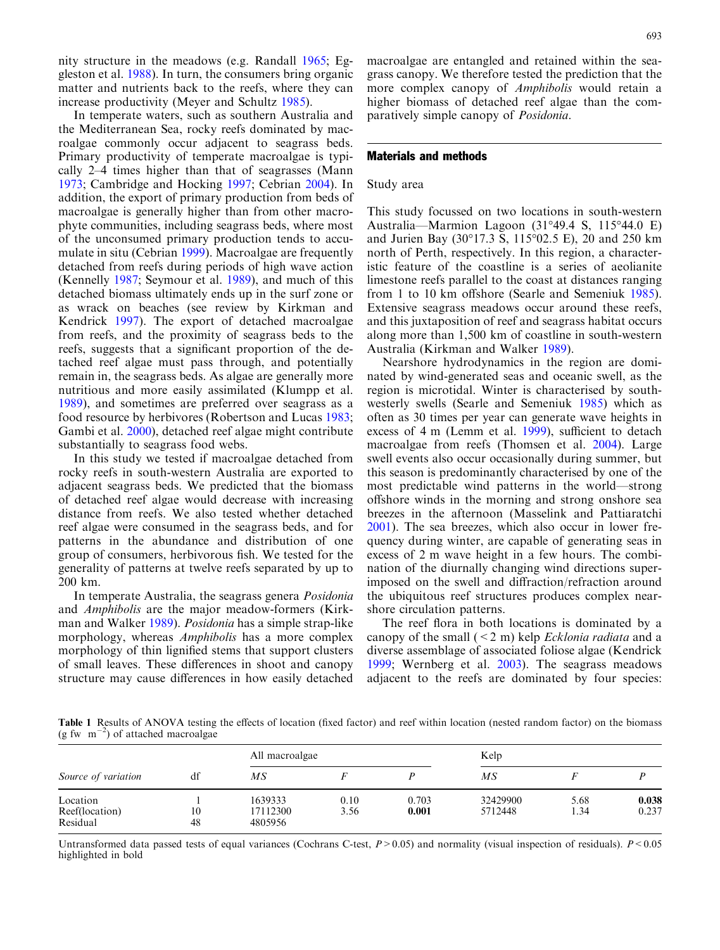<span id="page-1-0"></span>nity structure in the meadows (e.g. Randall [1965;](#page-9-0) Eggleston et al. [1988](#page-8-0)). In turn, the consumers bring organic matter and nutrients back to the reefs, where they can increase productivity (Meyer and Schultz [1985](#page-9-0)).

In temperate waters, such as southern Australia and the Mediterranean Sea, rocky reefs dominated by macroalgae commonly occur adjacent to seagrass beds. Primary productivity of temperate macroalgae is typically 2–4 times higher than that of seagrasses (Mann [1973](#page-9-0); Cambridge and Hocking [1997;](#page-8-0) Cebrian [2004\)](#page-8-0). In addition, the export of primary production from beds of macroalgae is generally higher than from other macrophyte communities, including seagrass beds, where most of the unconsumed primary production tends to accumulate in situ (Cebrian [1999\)](#page-8-0). Macroalgae are frequently detached from reefs during periods of high wave action (Kennelly [1987](#page-8-0); Seymour et al. [1989\)](#page-9-0), and much of this detached biomass ultimately ends up in the surf zone or as wrack on beaches (see review by Kirkman and Kendrick [1997\)](#page-8-0). The export of detached macroalgae from reefs, and the proximity of seagrass beds to the reefs, suggests that a significant proportion of the detached reef algae must pass through, and potentially remain in, the seagrass beds. As algae are generally more nutritious and more easily assimilated (Klumpp et al. [1989](#page-9-0)), and sometimes are preferred over seagrass as a food resource by herbivores (Robertson and Lucas [1983](#page-9-0); Gambi et al. [2000](#page-8-0)), detached reef algae might contribute substantially to seagrass food webs.

In this study we tested if macroalgae detached from rocky reefs in south-western Australia are exported to adjacent seagrass beds. We predicted that the biomass of detached reef algae would decrease with increasing distance from reefs. We also tested whether detached reef algae were consumed in the seagrass beds, and for patterns in the abundance and distribution of one group of consumers, herbivorous fish. We tested for the generality of patterns at twelve reefs separated by up to 200 km.

In temperate Australia, the seagrass genera Posidonia and Amphibolis are the major meadow-formers (Kirkman and Walker [1989](#page-8-0)). Posidonia has a simple strap-like morphology, whereas Amphibolis has a more complex morphology of thin lignified stems that support clusters of small leaves. These differences in shoot and canopy structure may cause differences in how easily detached macroalgae are entangled and retained within the seagrass canopy. We therefore tested the prediction that the more complex canopy of Amphibolis would retain a higher biomass of detached reef algae than the comparatively simple canopy of Posidonia.

## Materials and methods

#### Study area

This study focussed on two locations in south-western Australia—Marmion Lagoon (31°49.4 S, 115°44.0 E) and Jurien Bay (30°17.3 S, 115°02.5 E), 20 and 250 km north of Perth, respectively. In this region, a characteristic feature of the coastline is a series of aeolianite limestone reefs parallel to the coast at distances ranging from 1 to 10 km offshore (Searle and Semeniuk [1985\)](#page-9-0). Extensive seagrass meadows occur around these reefs, and this juxtaposition of reef and seagrass habitat occurs along more than 1,500 km of coastline in south-western Australia (Kirkman and Walker [1989\)](#page-8-0).

Nearshore hydrodynamics in the region are dominated by wind-generated seas and oceanic swell, as the region is microtidal. Winter is characterised by southwesterly swells (Searle and Semeniuk [1985\)](#page-9-0) which as often as 30 times per year can generate wave heights in excess of 4 m (Lemm et al. [1999\)](#page-9-0), sufficient to detach macroalgae from reefs (Thomsen et al. [2004](#page-9-0)). Large swell events also occur occasionally during summer, but this season is predominantly characterised by one of the most predictable wind patterns in the world—strong offshore winds in the morning and strong onshore sea breezes in the afternoon (Masselink and Pattiaratchi [2001\)](#page-9-0). The sea breezes, which also occur in lower frequency during winter, are capable of generating seas in excess of 2 m wave height in a few hours. The combination of the diurnally changing wind directions superimposed on the swell and diffraction/refraction around the ubiquitous reef structures produces complex nearshore circulation patterns.

The reef flora in both locations is dominated by a canopy of the small  $(< 2 \text{ m})$  kelp *Ecklonia radiata* and a diverse assemblage of associated foliose algae (Kendrick [1999;](#page-8-0) Wernberg et al. [2003](#page-9-0)). The seagrass meadows adjacent to the reefs are dominated by four species:

Table 1 Results of ANOVA testing the effects of location (fixed factor) and reef within location (nested random factor) on the biomass (g fw  $m^{-2}$ ) of attached macroalgae

| Source of variation                    |          | All macroalgae                 |              |                | Kelp                |              |                |  |
|----------------------------------------|----------|--------------------------------|--------------|----------------|---------------------|--------------|----------------|--|
|                                        | df       | ΜS                             |              |                | МS                  |              |                |  |
| Location<br>Reef(location)<br>Residual | 10<br>48 | 1639333<br>17112300<br>4805956 | 0.10<br>3.56 | 0.703<br>0.001 | 32429900<br>5712448 | 5.68<br>1.34 | 0.038<br>0.237 |  |

Untransformed data passed tests of equal variances (Cochrans C-test,  $P > 0.05$ ) and normality (visual inspection of residuals).  $P < 0.05$ highlighted in bold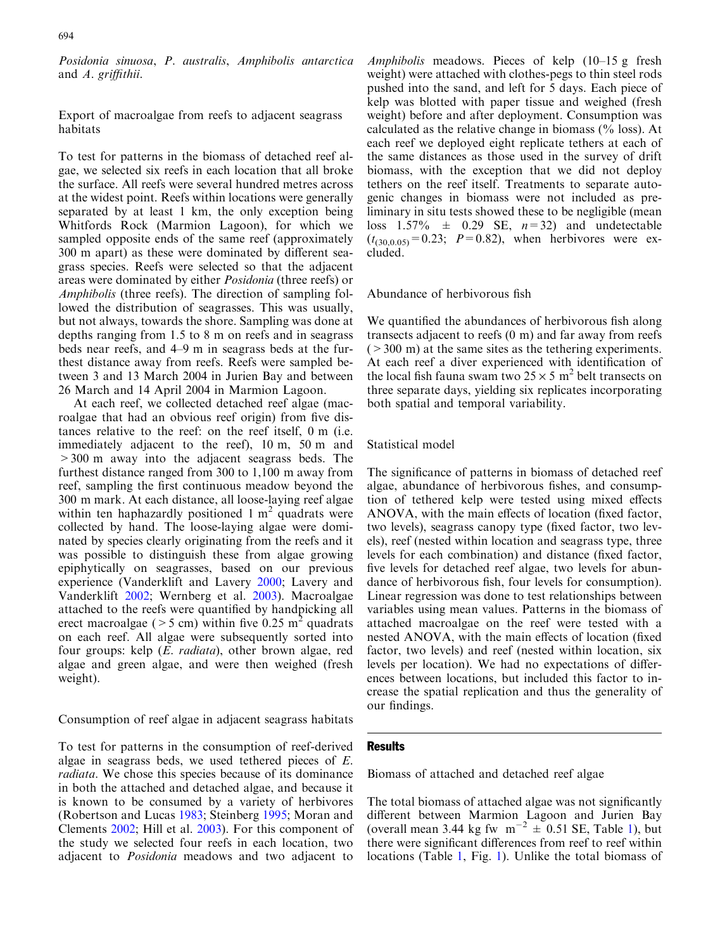Posidonia sinuosa, P. australis, Amphibolis antarctica and A. griffithii.

Export of macroalgae from reefs to adjacent seagrass habitats

To test for patterns in the biomass of detached reef algae, we selected six reefs in each location that all broke the surface. All reefs were several hundred metres across at the widest point. Reefs within locations were generally separated by at least 1 km, the only exception being Whitfords Rock (Marmion Lagoon), for which we sampled opposite ends of the same reef (approximately 300 m apart) as these were dominated by different seagrass species. Reefs were selected so that the adjacent areas were dominated by either Posidonia (three reefs) or Amphibolis (three reefs). The direction of sampling followed the distribution of seagrasses. This was usually, but not always, towards the shore. Sampling was done at depths ranging from 1.5 to 8 m on reefs and in seagrass beds near reefs, and 4–9 m in seagrass beds at the furthest distance away from reefs. Reefs were sampled between 3 and 13 March 2004 in Jurien Bay and between 26 March and 14 April 2004 in Marmion Lagoon.

At each reef, we collected detached reef algae (macroalgae that had an obvious reef origin) from five distances relative to the reef: on the reef itself, 0 m (i.e. immediately adjacent to the reef), 10 m, 50 m and >300 m away into the adjacent seagrass beds. The furthest distance ranged from 300 to 1,100 m away from reef, sampling the first continuous meadow beyond the 300 m mark. At each distance, all loose-laying reef algae within ten haphazardly positioned  $1 \text{ m}^2$  quadrats were collected by hand. The loose-laying algae were dominated by species clearly originating from the reefs and it was possible to distinguish these from algae growing epiphytically on seagrasses, based on our previous experience (Vanderklift and Lavery [2000;](#page-9-0) Lavery and Vanderklift [2002;](#page-9-0) Wernberg et al. [2003](#page-9-0)). Macroalgae attached to the reefs were quantified by handpicking all erect macroalgae ( $>$  5 cm) within five 0.25 m<sup>2</sup> quadrats on each reef. All algae were subsequently sorted into four groups: kelp (E. radiata), other brown algae, red algae and green algae, and were then weighed (fresh weight).

Consumption of reef algae in adjacent seagrass habitats

To test for patterns in the consumption of reef-derived algae in seagrass beds, we used tethered pieces of E. radiata. We chose this species because of its dominance in both the attached and detached algae, and because it is known to be consumed by a variety of herbivores (Robertson and Lucas [1983;](#page-9-0) Steinberg [1995](#page-9-0); Moran and Clements [2002;](#page-9-0) Hill et al. [2003](#page-8-0)). For this component of the study we selected four reefs in each location, two adjacent to Posidonia meadows and two adjacent to

Amphibolis meadows. Pieces of kelp (10–15 g fresh weight) were attached with clothes-pegs to thin steel rods pushed into the sand, and left for 5 days. Each piece of kelp was blotted with paper tissue and weighed (fresh weight) before and after deployment. Consumption was calculated as the relative change in biomass (% loss). At each reef we deployed eight replicate tethers at each of the same distances as those used in the survey of drift biomass, with the exception that we did not deploy tethers on the reef itself. Treatments to separate autogenic changes in biomass were not included as preliminary in situ tests showed these to be negligible (mean loss  $1.57\% \pm 0.29$  SE,  $n=32$ ) and undetectable  $(t_{(30,0.05)}=0.23; P=0.82)$ , when herbivores were excluded.

### Abundance of herbivorous fish

We quantified the abundances of herbivorous fish along transects adjacent to reefs (0 m) and far away from reefs  $(>300 \text{ m})$  at the same sites as the tethering experiments. At each reef a diver experienced with identification of the local fish fauna swam two  $25 \times 5$  m<sup>2</sup> belt transects on three separate days, yielding six replicates incorporating both spatial and temporal variability.

#### Statistical model

The significance of patterns in biomass of detached reef algae, abundance of herbivorous fishes, and consumption of tethered kelp were tested using mixed effects ANOVA, with the main effects of location (fixed factor, two levels), seagrass canopy type (fixed factor, two levels), reef (nested within location and seagrass type, three levels for each combination) and distance (fixed factor, five levels for detached reef algae, two levels for abundance of herbivorous fish, four levels for consumption). Linear regression was done to test relationships between variables using mean values. Patterns in the biomass of attached macroalgae on the reef were tested with a nested ANOVA, with the main effects of location (fixed factor, two levels) and reef (nested within location, six levels per location). We had no expectations of differences between locations, but included this factor to increase the spatial replication and thus the generality of our findings.

### **Results**

Biomass of attached and detached reef algae

The total biomass of attached algae was not significantly different between Marmion Lagoon and Jurien Bay (overall mean 3.44 kg fw  $m^{-2} \pm 0.51$  SE, Table [1\)](#page-1-0), but there were significant differences from reef to reef within locations (Table [1,](#page-1-0) Fig. [1\)](#page-3-0). Unlike the total biomass of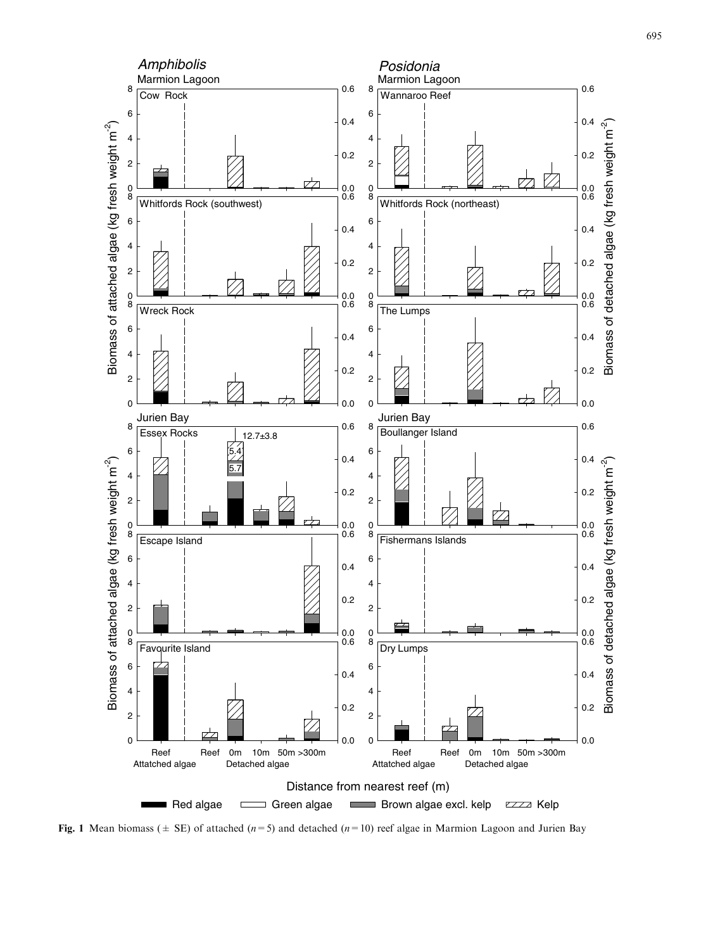<span id="page-3-0"></span>

Fig. 1 Mean biomass ( $\pm$  SE) of attached (n=5) and detached (n=10) reef algae in Marmion Lagoon and Jurien Bay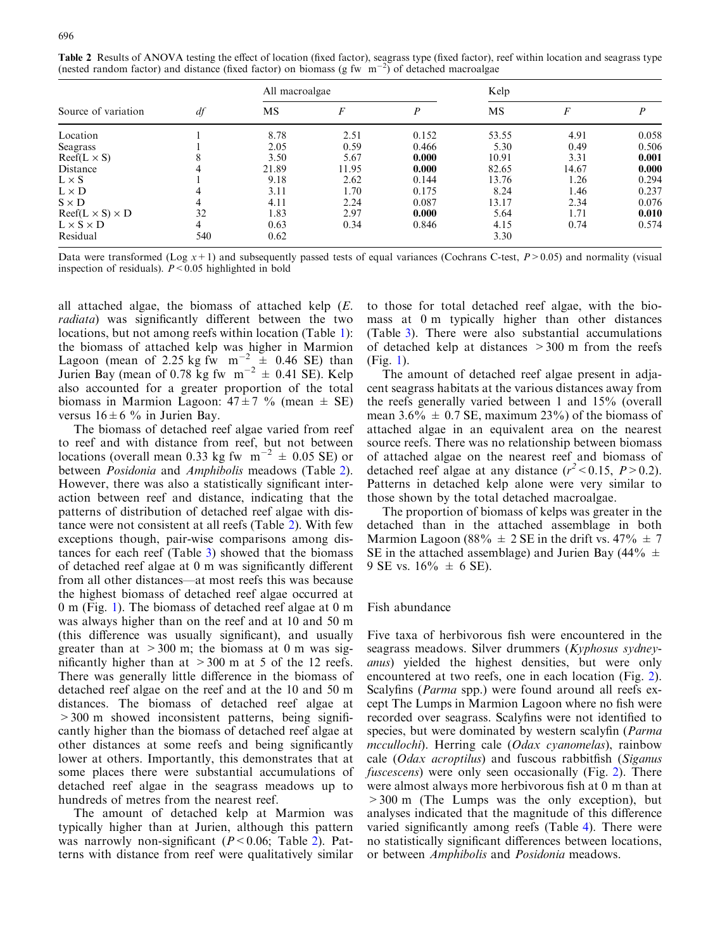Table 2 Results of ANOVA testing the effect of location (fixed factor), seagrass type (fixed factor), reef within location and seagrass type (nested random factor) and distance (fixed factor) on biomass (g fw  $\rm{m^{-2}}$ ) of detached macroalgae

| Source of variation                | df  | All macroalgae |       |                  | Kelp  |       |       |
|------------------------------------|-----|----------------|-------|------------------|-------|-------|-------|
|                                    |     | MS             | F     | $\boldsymbol{P}$ | MS    | F     | P     |
| Location                           |     | 8.78           | 2.51  | 0.152            | 53.55 | 4.91  | 0.058 |
| Seagrass                           |     | 2.05           | 0.59  | 0.466            | 5.30  | 0.49  | 0.506 |
| $Reef(L \times S)$                 |     | 3.50           | 5.67  | 0.000            | 10.91 | 3.31  | 0.001 |
| Distance                           | 4   | 21.89          | 11.95 | 0.000            | 82.65 | 14.67 | 0.000 |
| $L \times S$                       |     | 9.18           | 2.62  | 0.144            | 13.76 | 1.26  | 0.294 |
| $L \times D$                       | 4   | 3.11           | 1.70  | 0.175            | 8.24  | 1.46  | 0.237 |
| $S \times D$                       | 4   | 4.11           | 2.24  | 0.087            | 13.17 | 2.34  | 0.076 |
| $\text{Reef}(L \times S) \times D$ | 32  | 1.83           | 2.97  | 0.000            | 5.64  | 1.71  | 0.010 |
| $L \times S \times D$              | 4   | 0.63           | 0.34  | 0.846            | 4.15  | 0.74  | 0.574 |
| Residual                           | 540 | 0.62           |       |                  | 3.30  |       |       |

Data were transformed (Log  $x+1$ ) and subsequently passed tests of equal variances (Cochrans C-test,  $P > 0.05$ ) and normality (visual inspection of residuals).  $P < 0.05$  highlighted in bold

all attached algae, the biomass of attached kelp (E. radiata) was significantly different between the two locations, but not among reefs within location (Table [1\)](#page-1-0): the biomass of attached kelp was higher in Marmion Lagoon (mean of 2.25 kg fw m<sup>-2</sup>  $\pm$  0.46 SE) than Jurien Bay (mean of 0.78 kg fw  $m^{-2} \pm 0.41$  SE). Kelp also accounted for a greater proportion of the total biomass in Marmion Lagoon:  $47 \pm 7$  % (mean  $\pm$  SE) versus  $16 \pm 6$  % in Jurien Bay.

The biomass of detached reef algae varied from reef to reef and with distance from reef, but not between locations (overall mean 0.33 kg fw  $m^{-2} \pm 0.05$  SE) or between Posidonia and Amphibolis meadows (Table 2). However, there was also a statistically significant interaction between reef and distance, indicating that the patterns of distribution of detached reef algae with distance were not consistent at all reefs (Table 2). With few exceptions though, pair-wise comparisons among distances for each reef (Table [3](#page-5-0)) showed that the biomass of detached reef algae at 0 m was significantly different from all other distances—at most reefs this was because the highest biomass of detached reef algae occurred at 0 m (Fig. [1](#page-3-0)). The biomass of detached reef algae at 0 m was always higher than on the reef and at 10 and 50 m (this difference was usually significant), and usually greater than at  $>300$  m; the biomass at 0 m was significantly higher than at  $>300$  m at 5 of the 12 reefs. There was generally little difference in the biomass of detached reef algae on the reef and at the 10 and 50 m distances. The biomass of detached reef algae at >300 m showed inconsistent patterns, being significantly higher than the biomass of detached reef algae at other distances at some reefs and being significantly lower at others. Importantly, this demonstrates that at some places there were substantial accumulations of detached reef algae in the seagrass meadows up to hundreds of metres from the nearest reef.

The amount of detached kelp at Marmion was typically higher than at Jurien, although this pattern was narrowly non-significant ( $P < 0.06$ ; Table 2). Patterns with distance from reef were qualitatively similar

to those for total detached reef algae, with the biomass at 0 m typically higher than other distances (Table [3\)](#page-5-0). There were also substantial accumulations of detached kelp at distances  $>300$  m from the reefs (Fig. [1\)](#page-3-0).

The amount of detached reef algae present in adjacent seagrass habitats at the various distances away from the reefs generally varied between 1 and 15% (overall mean 3.6%  $\pm$  0.7 SE, maximum 23%) of the biomass of attached algae in an equivalent area on the nearest source reefs. There was no relationship between biomass of attached algae on the nearest reef and biomass of detached reef algae at any distance  $(r^2 < 0.15, P > 0.2)$ . Patterns in detached kelp alone were very similar to those shown by the total detached macroalgae.

The proportion of biomass of kelps was greater in the detached than in the attached assemblage in both Marmion Lagoon (88%  $\pm$  2 SE in the drift vs. 47%  $\pm$  7 SE in the attached assemblage) and Jurien Bay (44%  $\pm$ 9 SE vs.  $16\% \pm 6$  SE).

#### Fish abundance

Five taxa of herbivorous fish were encountered in the seagrass meadows. Silver drummers (Kyphosus sydneyanus) yielded the highest densities, but were only encountered at two reefs, one in each location (Fig. [2\)](#page-5-0). Scalyfins (*Parma* spp.) were found around all reefs except The Lumps in Marmion Lagoon where no fish were recorded over seagrass. Scalyfins were not identified to species, but were dominated by western scalyfin (Parma mccullochi). Herring cale (Odax cyanomelas), rainbow cale (Odax acroptilus) and fuscous rabbitfish (Siganus fuscescens) were only seen occasionally (Fig. [2](#page-5-0)). There were almost always more herbivorous fish at 0 m than at >300 m (The Lumps was the only exception), but analyses indicated that the magnitude of this difference varied significantly among reefs (Table [4\)](#page-6-0). There were no statistically significant differences between locations, or between Amphibolis and Posidonia meadows.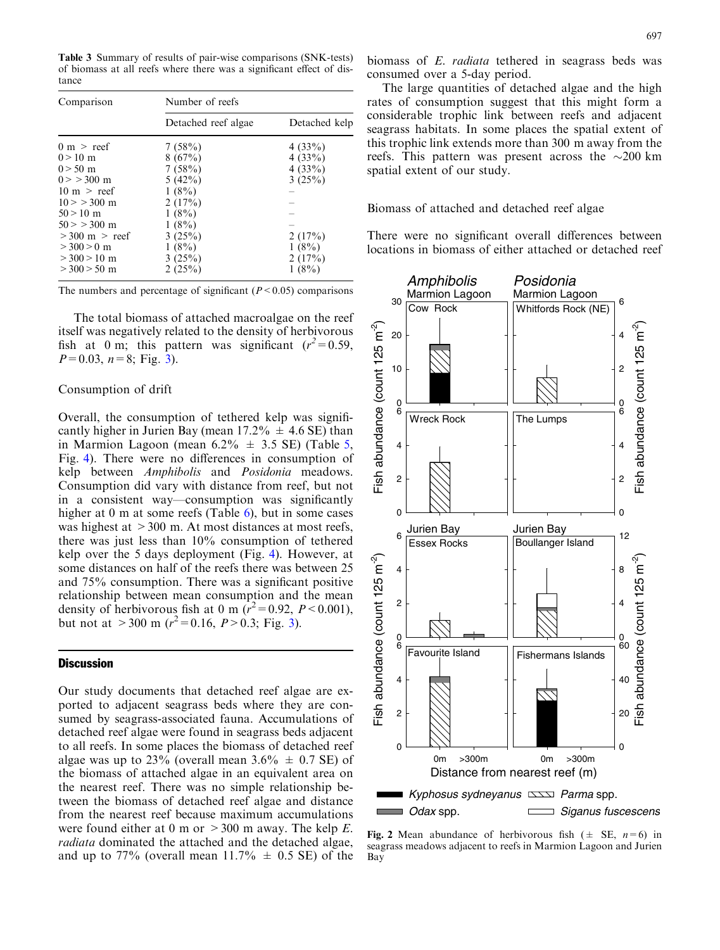<span id="page-5-0"></span>Table 3 Summary of results of pair-wise comparisons (SNK-tests) of biomass at all reefs where there was a significant effect of distance

| Comparison                     | Number of reefs     |               |  |  |
|--------------------------------|---------------------|---------------|--|--|
|                                | Detached reef algae | Detached kelp |  |  |
| $0 \text{ m} > \text{reef}$    | 7(58%)              | 4(33%)        |  |  |
| $0 > 10$ m                     | 8(67%)              | 4(33%)        |  |  |
| $0 > 50$ m                     | 7(58%)              | 4(33%)        |  |  |
| $0 >$ > 300 m                  | 5(42%)              | 3(25%)        |  |  |
| $10 \text{ m} > \text{reef}$   | $1(8\%)$            |               |  |  |
| $10 > 300$ m                   | 2(17%)              |               |  |  |
| $50 > 10$ m                    | $1(8\%)$            |               |  |  |
| $50 > 300$ m                   | $1(8\%)$            |               |  |  |
| $>300 \text{ m} > \text{reef}$ | 3(25%)              | 2(17%)        |  |  |
| $>300 > 0$ m                   | 1(8%)               | 1(8%)         |  |  |
| $>300 > 10$ m                  | 3(25%)              | 2(17%)        |  |  |
| $>300 > 50$ m                  | 2(25%)              | $1(8\%)$      |  |  |

The numbers and percentage of significant  $(P < 0.05)$  comparisons

The total biomass of attached macroalgae on the reef itself was negatively related to the density of herbivorous fish at 0 m; this pattern was significant  $(r^2 = 0.59)$ ,  $P=0.03$  $P=0.03$ ,  $n=8$ ; Fig. 3).

#### Consumption of drift

Overall, the consumption of tethered kelp was significantly higher in Jurien Bay (mean  $17.2\% \pm 4.6$  SE) than in Marmion Lagoon (mean  $6.2\% \pm 3.5$  $6.2\% \pm 3.5$  SE) (Table 5, Fig. [4\)](#page-7-0). There were no differences in consumption of kelp between Amphibolis and Posidonia meadows. Consumption did vary with distance from reef, but not in a consistent way—consumption was significantly higher at 0 m at some reefs (Table [6\)](#page-7-0), but in some cases was highest at  $>300$  m. At most distances at most reefs, there was just less than 10% consumption of tethered kelp over the 5 days deployment (Fig. [4](#page-7-0)). However, at some distances on half of the reefs there was between 25 and 75% consumption. There was a significant positive relationship between mean consumption and the mean density of herbivorous fish at 0 m  $(r^2 = 0.92, P < 0.001)$ , but not at  $>$  [3](#page-6-0)00 m ( $r^2$  = 0.16,  $P > 0.3$ ; Fig. 3).

## **Discussion**

Our study documents that detached reef algae are exported to adjacent seagrass beds where they are consumed by seagrass-associated fauna. Accumulations of detached reef algae were found in seagrass beds adjacent to all reefs. In some places the biomass of detached reef algae was up to 23% (overall mean  $3.6\% \pm 0.7$  SE) of the biomass of attached algae in an equivalent area on the nearest reef. There was no simple relationship between the biomass of detached reef algae and distance from the nearest reef because maximum accumulations were found either at 0 m or  $>300$  m away. The kelp E. radiata dominated the attached and the detached algae, and up to 77% (overall mean  $11.7\% \pm 0.5$  SE) of the

biomass of E. *radiata* tethered in seagrass beds was consumed over a 5-day period.

The large quantities of detached algae and the high rates of consumption suggest that this might form a considerable trophic link between reefs and adjacent seagrass habitats. In some places the spatial extent of this trophic link extends more than 300 m away from the reefs. This pattern was present across the  $\sim$ 200 km spatial extent of our study.

Biomass of attached and detached reef algae

There were no significant overall differences between locations in biomass of either attached or detached reef



Fig. 2 Mean abundance of herbivorous fish ( $\pm$  SE,  $n=6$ ) in seagrass meadows adjacent to reefs in Marmion Lagoon and Jurien Bay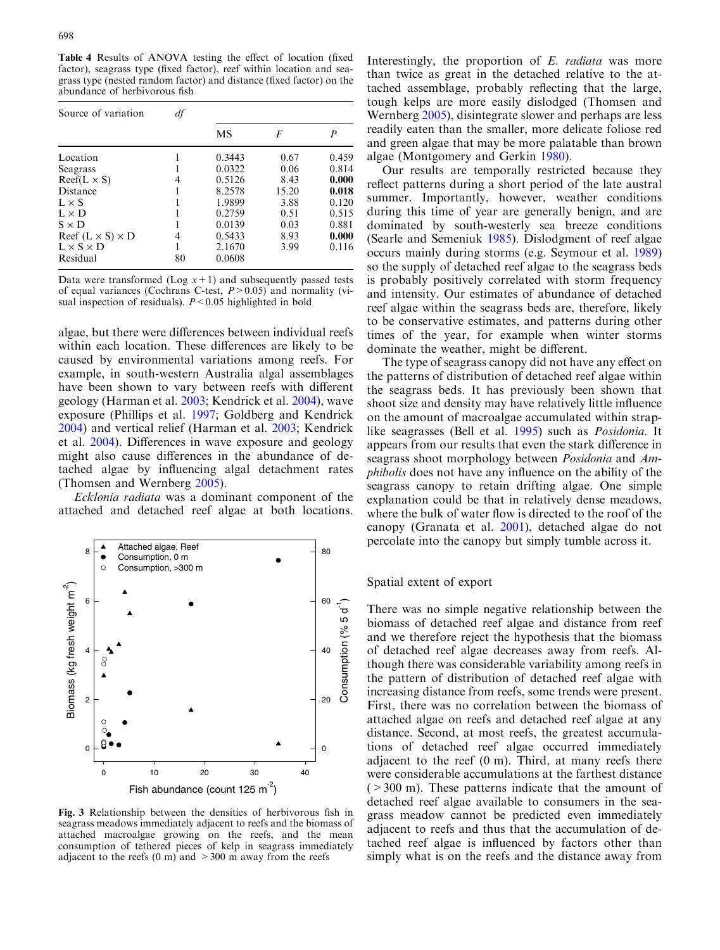<span id="page-6-0"></span>

| Source of variation          | df |        |       |                  |  |
|------------------------------|----|--------|-------|------------------|--|
|                              |    | MS     | F     | $\boldsymbol{P}$ |  |
| Location                     |    | 0.3443 | 0.67  | 0.459            |  |
| Seagrass                     |    | 0.0322 | 0.06  | 0.814            |  |
| $\text{Reef}(L \times S)$    |    | 0.5126 | 8.43  | 0.000            |  |
| <b>Distance</b>              |    | 8.2578 | 15.20 | 0.018            |  |
| $L \times S$                 |    | 1.9899 | 3.88  | 0.120            |  |
| $L \times D$                 |    | 0.2759 | 0.51  | 0.515            |  |
| $S \times D$                 |    | 0.0139 | 0.03  | 0.881            |  |
| Reef $(L \times S) \times D$ |    | 0.5433 | 8.93  | 0.000            |  |
| $L \times S \times D$        |    | 2.1670 | 3.99  | 0.116            |  |
| Residual                     | 80 | 0.0608 |       |                  |  |

Data were transformed (Log  $x+1$ ) and subsequently passed tests of equal variances (Cochrans C-test,  $P > 0.05$ ) and normality (visual inspection of residuals).  $P < 0.05$  highlighted in bold

algae, but there were differences between individual reefs within each location. These differences are likely to be caused by environmental variations among reefs. For example, in south-western Australia algal assemblages have been shown to vary between reefs with different geology (Harman et al. [2003;](#page-8-0) Kendrick et al. [2004\)](#page-8-0), wave exposure (Phillips et al. [1997](#page-9-0); Goldberg and Kendrick [2004](#page-8-0)) and vertical relief (Harman et al. [2003;](#page-8-0) Kendrick et al. [2004\)](#page-8-0). Differences in wave exposure and geology might also cause differences in the abundance of detached algae by influencing algal detachment rates (Thomsen and Wernberg [2005\)](#page-9-0).

Ecklonia radiata was a dominant component of the attached and detached reef algae at both locations.



Fig. 3 Relationship between the densities of herbivorous fish in seagrass meadows immediately adjacent to reefs and the biomass of attached macroalgae growing on the reefs, and the mean consumption of tethered pieces of kelp in seagrass immediately adjacent to the reefs  $(0 \text{ m})$  and  $> 300 \text{ m}$  away from the reefs

Interestingly, the proportion of E. *radiata* was more than twice as great in the detached relative to the attached assemblage, probably reflecting that the large, tough kelps are more easily dislodged (Thomsen and Wernberg [2005](#page-9-0)), disintegrate slower and perhaps are less readily eaten than the smaller, more delicate foliose red and green algae that may be more palatable than brown algae (Montgomery and Gerkin [1980\)](#page-9-0).

Our results are temporally restricted because they reflect patterns during a short period of the late austral summer. Importantly, however, weather conditions during this time of year are generally benign, and are dominated by south-westerly sea breeze conditions (Searle and Semeniuk [1985\)](#page-9-0). Dislodgment of reef algae occurs mainly during storms (e.g. Seymour et al. [1989\)](#page-9-0) so the supply of detached reef algae to the seagrass beds is probably positively correlated with storm frequency and intensity. Our estimates of abundance of detached reef algae within the seagrass beds are, therefore, likely to be conservative estimates, and patterns during other times of the year, for example when winter storms dominate the weather, might be different.

The type of seagrass canopy did not have any effect on the patterns of distribution of detached reef algae within the seagrass beds. It has previously been shown that shoot size and density may have relatively little influence on the amount of macroalgae accumulated within strap-like seagrasses (Bell et al. [1995\)](#page-8-0) such as *Posidonia*. It appears from our results that even the stark difference in seagrass shoot morphology between *Posidonia* and *Am*phibolis does not have any influence on the ability of the seagrass canopy to retain drifting algae. One simple explanation could be that in relatively dense meadows, where the bulk of water flow is directed to the roof of the canopy (Granata et al. [2001\)](#page-8-0), detached algae do not percolate into the canopy but simply tumble across it.

# Spatial extent of export

There was no simple negative relationship between the biomass of detached reef algae and distance from reef and we therefore reject the hypothesis that the biomass of detached reef algae decreases away from reefs. Although there was considerable variability among reefs in the pattern of distribution of detached reef algae with increasing distance from reefs, some trends were present. First, there was no correlation between the biomass of attached algae on reefs and detached reef algae at any distance. Second, at most reefs, the greatest accumulations of detached reef algae occurred immediately adjacent to the reef (0 m). Third, at many reefs there were considerable accumulations at the farthest distance  $(>300 \text{ m})$ . These patterns indicate that the amount of detached reef algae available to consumers in the seagrass meadow cannot be predicted even immediately adjacent to reefs and thus that the accumulation of detached reef algae is influenced by factors other than simply what is on the reefs and the distance away from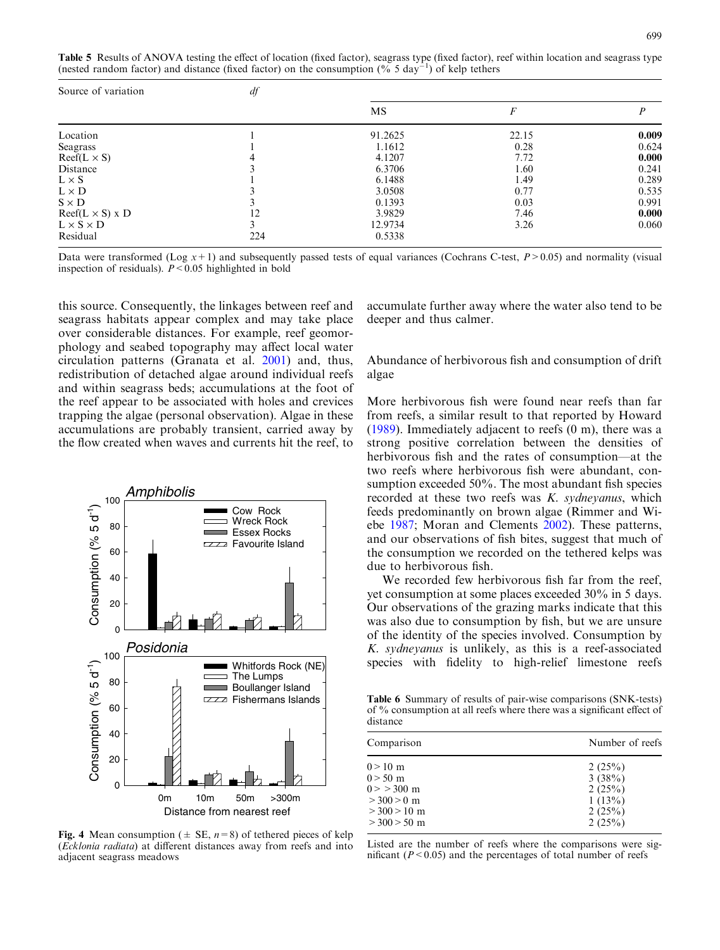699

<span id="page-7-0"></span>Table 5 Results of ANOVA testing the effect of location (fixed factor), seagrass type (fixed factor), reef within location and seagrass type (nested random factor) and distance (fixed factor) on the consumption (% 5 day<sup>-1</sup>) of kelp tethers

| Source of variation                | df  |         |       |       |  |  |
|------------------------------------|-----|---------|-------|-------|--|--|
|                                    |     | MS      | F     | D     |  |  |
| Location                           |     | 91.2625 | 22.15 | 0.009 |  |  |
| Seagrass                           |     | 1.1612  | 0.28  | 0.624 |  |  |
| $\text{Reef}(L \times S)$          |     | 4.1207  | 7.72  | 0.000 |  |  |
| Distance                           |     | 6.3706  | 1.60  | 0.241 |  |  |
| $L \times S$                       |     | 6.1488  | 1.49  | 0.289 |  |  |
| $L \times D$                       |     | 3.0508  | 0.77  | 0.535 |  |  |
| $S \times D$                       |     | 0.1393  | 0.03  | 0.991 |  |  |
| $\text{Reef}(L \times S) \times D$ | 12  | 3.9829  | 7.46  | 0.000 |  |  |
| $L \times S \times D$              |     | 12.9734 | 3.26  | 0.060 |  |  |
| Residual                           | 224 | 0.5338  |       |       |  |  |

Data were transformed (Log  $x+1$ ) and subsequently passed tests of equal variances (Cochrans C-test,  $P > 0.05$ ) and normality (visual inspection of residuals).  $P < 0.05$  highlighted in bold

this source. Consequently, the linkages between reef and seagrass habitats appear complex and may take place over considerable distances. For example, reef geomorphology and seabed topography may affect local water circulation patterns (Granata et al. [2001\)](#page-8-0) and, thus, redistribution of detached algae around individual reefs and within seagrass beds; accumulations at the foot of the reef appear to be associated with holes and crevices trapping the algae (personal observation). Algae in these accumulations are probably transient, carried away by the flow created when waves and currents hit the reef, to



Fig. 4 Mean consumption ( $\pm$  SE,  $n=8$ ) of tethered pieces of kelp (Ecklonia radiata) at different distances away from reefs and into adjacent seagrass meadows

accumulate further away where the water also tend to be deeper and thus calmer.

Abundance of herbivorous fish and consumption of drift algae

More herbivorous fish were found near reefs than far from reefs, a similar result to that reported by Howard ([1989](#page-8-0)). Immediately adjacent to reefs (0 m), there was a strong positive correlation between the densities of herbivorous fish and the rates of consumption—at the two reefs where herbivorous fish were abundant, consumption exceeded 50%. The most abundant fish species recorded at these two reefs was  $K$ . sydneyanus, which feeds predominantly on brown algae (Rimmer and Wiebe [1987](#page-9-0); Moran and Clements [2002](#page-9-0)). These patterns, and our observations of fish bites, suggest that much of the consumption we recorded on the tethered kelps was due to herbivorous fish.

We recorded few herbivorous fish far from the reef, yet consumption at some places exceeded 30% in 5 days. Our observations of the grazing marks indicate that this was also due to consumption by fish, but we are unsure of the identity of the species involved. Consumption by K. sydneyanus is unlikely, as this is a reef-associated species with fidelity to high-relief limestone reefs

Table 6 Summary of results of pair-wise comparisons (SNK-tests) of % consumption at all reefs where there was a significant effect of distance

| Comparison    | Number of reefs |  |  |
|---------------|-----------------|--|--|
| $0 > 10$ m    | 2(25%)          |  |  |
| $0 > 50$ m    | 3(38%)          |  |  |
| $0 >$ > 300 m | 2(25%)          |  |  |
| $>300>0$ m    | 1(13%)          |  |  |
| $>300 > 10$ m | 2(25%)          |  |  |
| $>300 > 50$ m | 2(25%)          |  |  |
|               |                 |  |  |

Listed are the number of reefs where the comparisons were significant ( $P < 0.05$ ) and the percentages of total number of reefs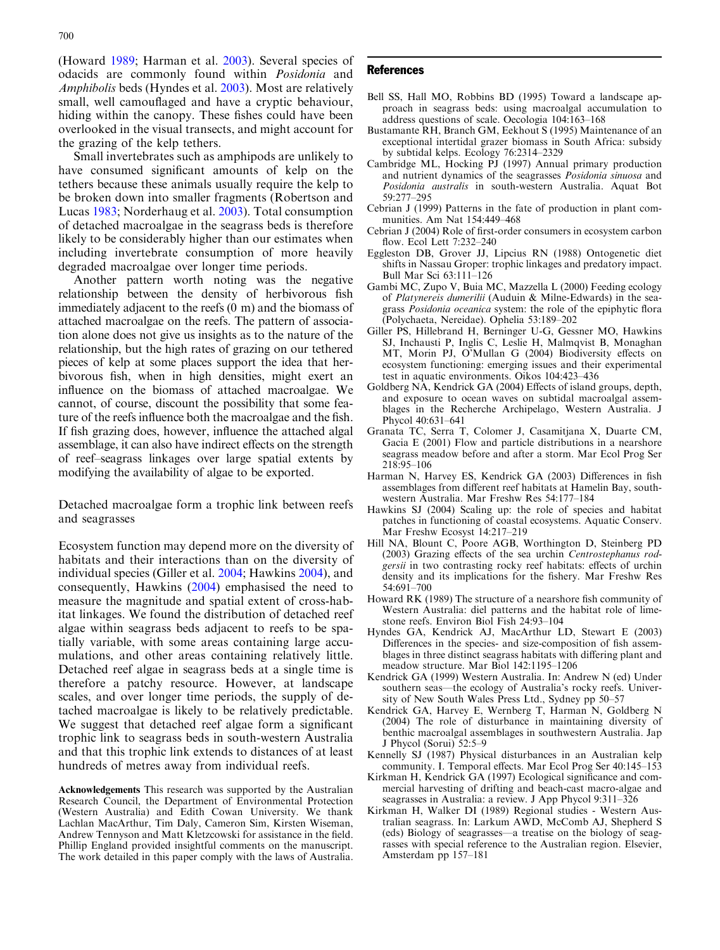<span id="page-8-0"></span>(Howard 1989; Harman et al. 2003). Several species of odacids are commonly found within Posidonia and Amphibolis beds (Hyndes et al. 2003). Most are relatively small, well camouflaged and have a cryptic behaviour, hiding within the canopy. These fishes could have been overlooked in the visual transects, and might account for the grazing of the kelp tethers.

Small invertebrates such as amphipods are unlikely to have consumed significant amounts of kelp on the tethers because these animals usually require the kelp to be broken down into smaller fragments (Robertson and Lucas [1983;](#page-9-0) Norderhaug et al. [2003\)](#page-9-0). Total consumption of detached macroalgae in the seagrass beds is therefore likely to be considerably higher than our estimates when including invertebrate consumption of more heavily degraded macroalgae over longer time periods.

Another pattern worth noting was the negative relationship between the density of herbivorous fish immediately adjacent to the reefs (0 m) and the biomass of attached macroalgae on the reefs. The pattern of association alone does not give us insights as to the nature of the relationship, but the high rates of grazing on our tethered pieces of kelp at some places support the idea that herbivorous fish, when in high densities, might exert an influence on the biomass of attached macroalgae. We cannot, of course, discount the possibility that some feature of the reefs influence both the macroalgae and the fish. If fish grazing does, however, influence the attached algal assemblage, it can also have indirect effects on the strength of reef–seagrass linkages over large spatial extents by modifying the availability of algae to be exported.

Detached macroalgae form a trophic link between reefs and seagrasses

Ecosystem function may depend more on the diversity of habitats and their interactions than on the diversity of individual species (Giller et al. 2004; Hawkins 2004), and consequently, Hawkins (2004) emphasised the need to measure the magnitude and spatial extent of cross-habitat linkages. We found the distribution of detached reef algae within seagrass beds adjacent to reefs to be spatially variable, with some areas containing large accumulations, and other areas containing relatively little. Detached reef algae in seagrass beds at a single time is therefore a patchy resource. However, at landscape scales, and over longer time periods, the supply of detached macroalgae is likely to be relatively predictable. We suggest that detached reef algae form a significant trophic link to seagrass beds in south-western Australia and that this trophic link extends to distances of at least hundreds of metres away from individual reefs.

Acknowledgements This research was supported by the Australian Research Council, the Department of Environmental Protection (Western Australia) and Edith Cowan University. We thank Lachlan MacArthur, Tim Daly, Cameron Sim, Kirsten Wiseman, Andrew Tennyson and Matt Kletzcowski for assistance in the field. Phillip England provided insightful comments on the manuscript. The work detailed in this paper comply with the laws of Australia.

#### References

- Bell SS, Hall MO, Robbins BD (1995) Toward a landscape approach in seagrass beds: using macroalgal accumulation to address questions of scale. Oecologia 104:163–168
- Bustamante RH, Branch GM, Eekhout S (1995) Maintenance of an exceptional intertidal grazer biomass in South Africa: subsidy by subtidal kelps. Ecology 76:2314–2329
- Cambridge ML, Hocking PJ (1997) Annual primary production and nutrient dynamics of the seagrasses Posidonia sinuosa and Posidonia australis in south-western Australia. Aquat Bot 59:277–295
- Cebrian J (1999) Patterns in the fate of production in plant communities. Am Nat 154:449–468
- Cebrian J (2004) Role of first-order consumers in ecosystem carbon flow. Ecol Lett 7:232–240
- Eggleston DB, Grover JJ, Lipcius RN (1988) Ontogenetic diet shifts in Nassau Groper: trophic linkages and predatory impact. Bull Mar Sci 63:111–126
- Gambi MC, Zupo V, Buia MC, Mazzella L (2000) Feeding ecology of Platynereis dumerilii (Auduin & Milne-Edwards) in the seagrass Posidonia oceanica system: the role of the epiphytic flora (Polychaeta, Nereidae). Ophelia 53:189–202
- Giller PS, Hillebrand H, Berninger U-G, Gessner MO, Hawkins SJ, Inchausti P, Inglis C, Leslie H, Malmqvist B, Monaghan MT, Morin PJ, O'Mullan G (2004) Biodiversity effects on ecosystem functioning: emerging issues and their experimental test in aquatic environments. Oikos 104:423–436
- Goldberg NA, Kendrick GA (2004) Effects of island groups, depth, and exposure to ocean waves on subtidal macroalgal assemblages in the Recherche Archipelago, Western Australia. J Phycol 40:631–641
- Granata TC, Serra T, Colomer J, Casamitjana X, Duarte CM, Gacia E (2001) Flow and particle distributions in a nearshore seagrass meadow before and after a storm. Mar Ecol Prog Ser 218:95–106
- Harman N, Harvey ES, Kendrick GA (2003) Differences in fish assemblages from different reef habitats at Hamelin Bay, southwestern Australia. Mar Freshw Res 54:177–184
- Hawkins SJ (2004) Scaling up: the role of species and habitat patches in functioning of coastal ecosystems. Aquatic Conserv. Mar Freshw Ecosyst 14:217–219
- Hill NA, Blount C, Poore AGB, Worthington D, Steinberg PD (2003) Grazing effects of the sea urchin Centrostephanus rodgersii in two contrasting rocky reef habitats: effects of urchin density and its implications for the fishery. Mar Freshw Res 54:691–700
- Howard RK (1989) The structure of a nearshore fish community of Western Australia: diel patterns and the habitat role of limestone reefs. Environ Biol Fish 24:93–104
- Hyndes GA, Kendrick AJ, MacArthur LD, Stewart E (2003) Differences in the species- and size-composition of fish assemblages in three distinct seagrass habitats with differing plant and meadow structure. Mar Biol 142:1195–1206
- Kendrick GA (1999) Western Australia. In: Andrew N (ed) Under southern seas—the ecology of Australia's rocky reefs. University of New South Wales Press Ltd., Sydney pp 50–57
- Kendrick GA, Harvey E, Wernberg T, Harman N, Goldberg N (2004) The role of disturbance in maintaining diversity of benthic macroalgal assemblages in southwestern Australia. Jap J Phycol (Sorui) 52:5–9
- Kennelly SJ (1987) Physical disturbances in an Australian kelp community. I. Temporal effects. Mar Ecol Prog Ser 40:145–153
- Kirkman H, Kendrick GA (1997) Ecological significance and commercial harvesting of drifting and beach-cast macro-algae and seagrasses in Australia: a review. J App Phycol 9:311–326
- Kirkman H, Walker DI (1989) Regional studies Western Australian seagrass. In: Larkum AWD, McComb AJ, Shepherd S (eds) Biology of seagrasses—a treatise on the biology of seagrasses with special reference to the Australian region. Elsevier, Amsterdam pp 157–181